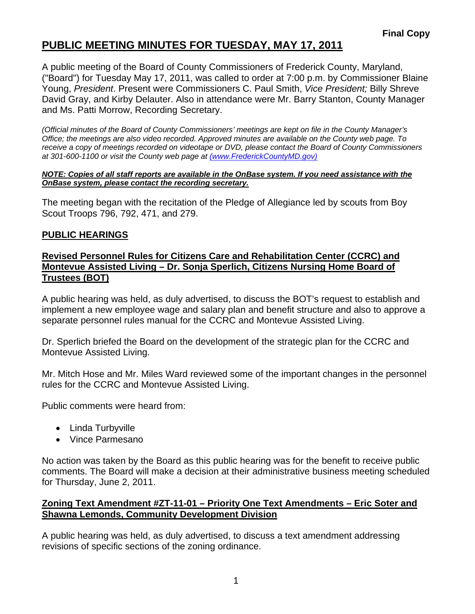# **PUBLIC MEETING MINUTES FOR TUESDAY, MAY 17, 2011**

A public meeting of the Board of County Commissioners of Frederick County, Maryland, ("Board") for Tuesday May 17, 2011, was called to order at 7:00 p.m. by Commissioner Blaine Young, *President*. Present were Commissioners C. Paul Smith, *Vice President;* Billy Shreve David Gray, and Kirby Delauter. Also in attendance were Mr. Barry Stanton, County Manager and Ms. Patti Morrow, Recording Secretary.

*(Official minutes of the Board of County Commissioners' meetings are kept on file in the County Manager's Office; the meetings are also video recorded. Approved minutes are available on the County web page. To receive a copy of meetings recorded on videotape or DVD, please contact the Board of County Commissioners at 301-600-1100 or visit the County web page at (www.FrederickCountyMD.gov)*

#### *NOTE: Copies of all staff reports are available in the OnBase system. If you need assistance with the OnBase system, please contact the recording secretary.*

The meeting began with the recitation of the Pledge of Allegiance led by scouts from Boy Scout Troops 796, 792, 471, and 279.

### **PUBLIC HEARINGS**

#### **Revised Personnel Rules for Citizens Care and Rehabilitation Center (CCRC) and Montevue Assisted Living – Dr. Sonja Sperlich, Citizens Nursing Home Board of Trustees (BOT)**

A public hearing was held, as duly advertised, to discuss the BOT's request to establish and implement a new employee wage and salary plan and benefit structure and also to approve a separate personnel rules manual for the CCRC and Montevue Assisted Living.

Dr. Sperlich briefed the Board on the development of the strategic plan for the CCRC and Montevue Assisted Living.

Mr. Mitch Hose and Mr. Miles Ward reviewed some of the important changes in the personnel rules for the CCRC and Montevue Assisted Living.

Public comments were heard from:

- Linda Turbyville
- Vince Parmesano

No action was taken by the Board as this public hearing was for the benefit to receive public comments. The Board will make a decision at their administrative business meeting scheduled for Thursday, June 2, 2011.

#### **Zoning Text Amendment #ZT-11-01 – Priority One Text Amendments – Eric Soter and Shawna Lemonds, Community Development Division**

A public hearing was held, as duly advertised, to discuss a text amendment addressing revisions of specific sections of the zoning ordinance.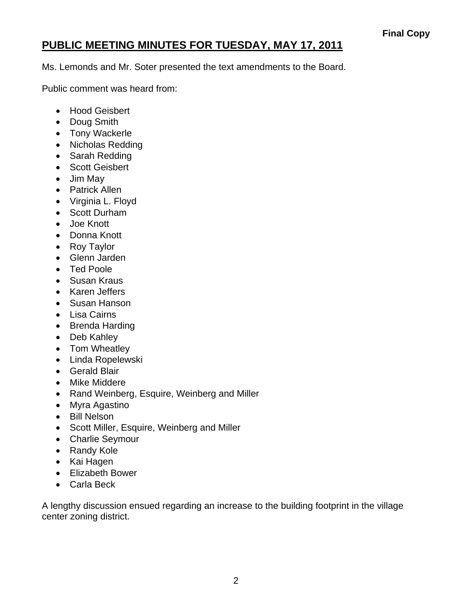# **PUBLIC MEETING MINUTES FOR TUESDAY, MAY 17, 2011**

Ms. Lemonds and Mr. Soter presented the text amendments to the Board.

Public comment was heard from:

- Hood Geisbert
- Doug Smith
- Tony Wackerle
- Nicholas Redding
- Sarah Redding
- Scott Geisbert
- Jim May
- Patrick Allen
- Virginia L. Floyd
- Scott Durham
- Joe Knott
- Donna Knott
- Roy Taylor
- Glenn Jarden
- Ted Poole
- Susan Kraus
- Karen Jeffers
- Susan Hanson
- Lisa Cairns
- Brenda Harding
- Deb Kahley
- Tom Wheatley
- Linda Ropelewski
- Gerald Blair
- Mike Middere
- Rand Weinberg, Esquire, Weinberg and Miller
- Myra Agastino
- Bill Nelson
- Scott Miller, Esquire, Weinberg and Miller
- Charlie Seymour
- Randy Kole
- Kai Hagen
- Elizabeth Bower
- Carla Beck

A lengthy discussion ensued regarding an increase to the building footprint in the village center zoning district.